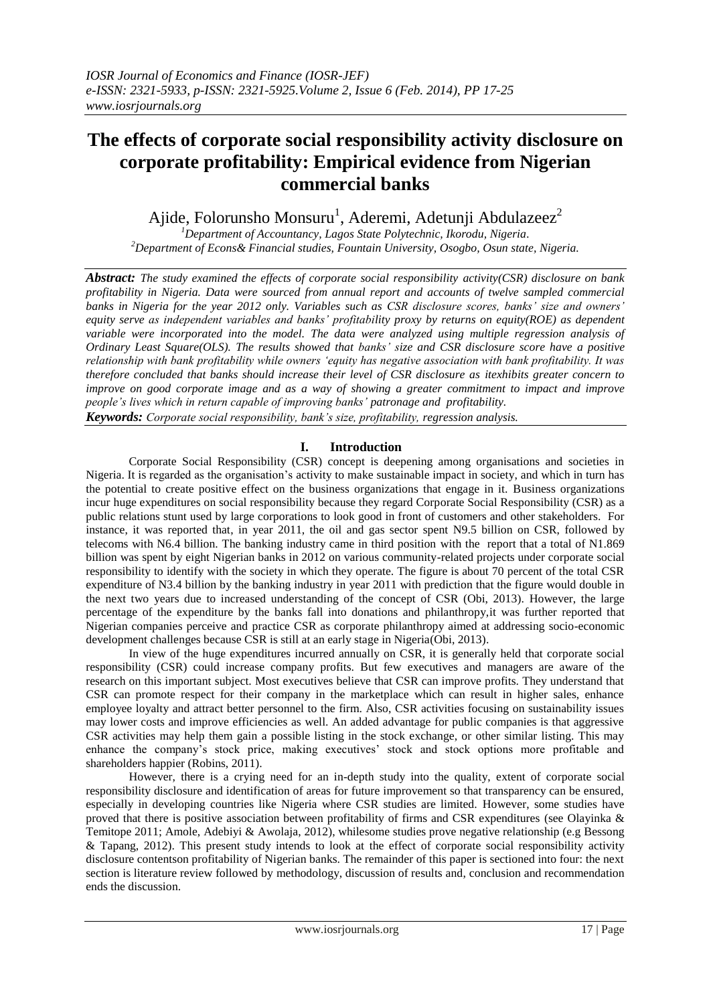# **The effects of corporate social responsibility activity disclosure on corporate profitability: Empirical evidence from Nigerian commercial banks**

Ajide, Folorunsho Monsuru<sup>1</sup>, Aderemi, Adetunji Abdulazeez<sup>2</sup>

*<sup>1</sup>Department of Accountancy, Lagos State Polytechnic, Ikorodu, Nigeria. <sup>2</sup>Department of Econs& Financial studies, Fountain University, Osogbo, Osun state, Nigeria.*

*Abstract: The study examined the effects of corporate social responsibility activity(CSR) disclosure on bank profitability in Nigeria. Data were sourced from annual report and accounts of twelve sampled commercial banks in Nigeria for the year 2012 only. Variables such as CSR disclosure scores, banks' size and owners' equity serve as independent variables and banks' profitability proxy by returns on equity(ROE) as dependent variable were incorporated into the model. The data were analyzed using multiple regression analysis of Ordinary Least Square(OLS). The results showed that banks' size and CSR disclosure score have a positive relationship with bank profitability while owners 'equity has negative association with bank profitability. It was therefore concluded that banks should increase their level of CSR disclosure as itexhibits greater concern to improve on good corporate image and as a way of showing a greater commitment to impact and improve people's lives which in return capable of improving banks' patronage and profitability.*

*Keywords: Corporate social responsibility, bank's size, profitability, regression analysis.*

# **I. Introduction**

Corporate Social Responsibility (CSR) concept is deepening among organisations and societies in Nigeria. It is regarded as the organisation"s activity to make sustainable impact in society, and which in turn has the potential to create positive effect on the business organizations that engage in it. Business organizations incur huge expenditures on social responsibility because they regard Corporate Social Responsibility (CSR) as a public relations stunt used by large corporations to look good in front of customers and other stakeholders. For instance, it was reported that, in year 2011, the oil and gas sector spent N9.5 billion on CSR, followed by telecoms with N6.4 billion. The banking industry came in third position with the report that a total of N1.869 billion was spent by eight Nigerian banks in 2012 on various community-related projects under corporate social responsibility to identify with the society in which they operate. The figure is about 70 percent of the total CSR expenditure of N3.4 billion by the banking industry in year 2011 with prediction that the figure would double in the next two years due to increased understanding of the concept of CSR (Obi, 2013). However, the large percentage of the expenditure by the banks fall into donations and philanthropy,it was further reported that Nigerian companies perceive and practice CSR as corporate philanthropy aimed at addressing socio-economic development challenges because CSR is still at an early stage in Nigeria(Obi, 2013).

In view of the huge expenditures incurred annually on CSR, it is generally held that corporate social responsibility (CSR) could increase company profits. But few executives and managers are aware of the research on this important subject. Most executives believe that CSR can improve profits. They understand that CSR can promote respect for their company in the marketplace which can result in higher sales, enhance employee loyalty and attract better personnel to the firm. Also, CSR activities focusing on sustainability issues may lower costs and improve efficiencies as well. An added advantage for public companies is that aggressive CSR activities may help them gain a possible listing in the stock exchange, or other similar listing. This may enhance the company's stock price, making executives' stock and stock options more profitable and shareholders happier (Robins, 2011).

However, there is a crying need for an in-depth study into the quality, extent of corporate social responsibility disclosure and identification of areas for future improvement so that transparency can be ensured, especially in developing countries like Nigeria where CSR studies are limited. However, some studies have proved that there is positive association between profitability of firms and CSR expenditures (see Olayinka & Temitope 2011; Amole, Adebiyi & Awolaja, 2012), whilesome studies prove negative relationship (e.g Bessong & Tapang, 2012). This present study intends to look at the effect of corporate social responsibility activity disclosure contentson profitability of Nigerian banks. The remainder of this paper is sectioned into four: the next section is literature review followed by methodology, discussion of results and, conclusion and recommendation ends the discussion.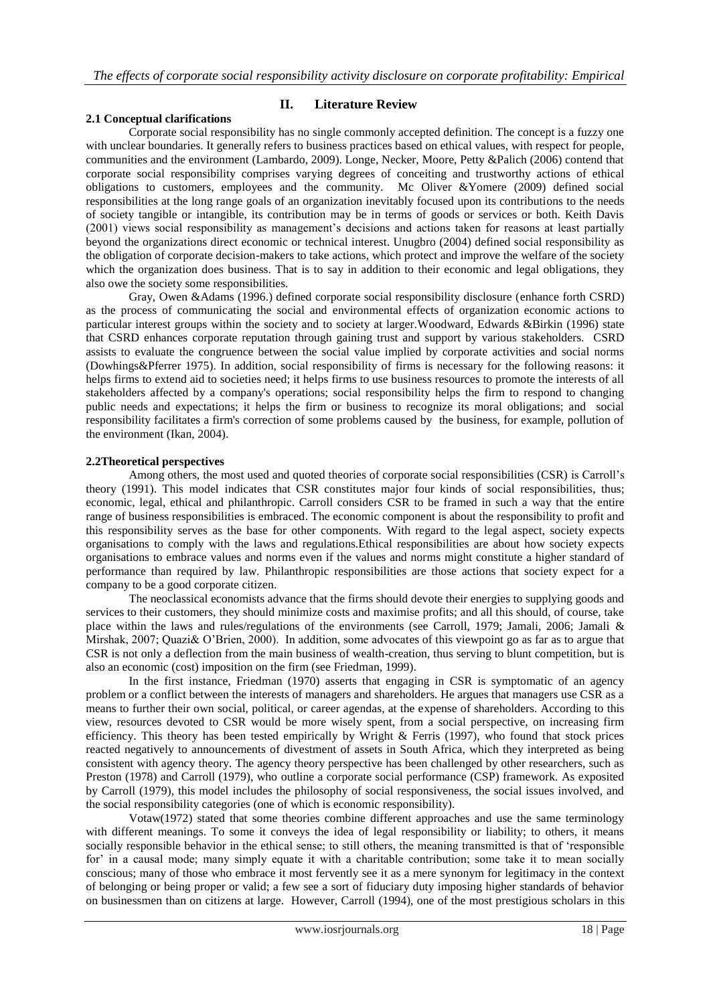## **II. Literature Review**

## **2.1 Conceptual clarifications**

Corporate social responsibility has no single commonly accepted definition. The concept is a fuzzy one with unclear boundaries. It generally refers to business practices based on ethical values, with respect for people, communities and the environment (Lambardo, 2009). Longe, Necker, Moore, Petty &Palich (2006) contend that corporate social responsibility comprises varying degrees of conceiting and trustworthy actions of ethical obligations to customers, employees and the community. Mc Oliver &Yomere (2009) defined social responsibilities at the long range goals of an organization inevitably focused upon its contributions to the needs of society tangible or intangible, its contribution may be in terms of goods or services or both. Keith Davis (2001) views social responsibility as management"s decisions and actions taken for reasons at least partially beyond the organizations direct economic or technical interest. Unugbro (2004) defined social responsibility as the obligation of corporate decision-makers to take actions, which protect and improve the welfare of the society which the organization does business. That is to say in addition to their economic and legal obligations, they also owe the society some responsibilities.

Gray, Owen &Adams (1996.) defined corporate social responsibility disclosure (enhance forth CSRD) as the process of communicating the social and environmental effects of organization economic actions to particular interest groups within the society and to society at larger.Woodward, Edwards &Birkin (1996) state that CSRD enhances corporate reputation through gaining trust and support by various stakeholders. CSRD assists to evaluate the congruence between the social value implied by corporate activities and social norms (Dowhings&Pferrer 1975). In addition, social responsibility of firms is necessary for the following reasons: it helps firms to extend aid to societies need; it helps firms to use business resources to promote the interests of all stakeholders affected by a company's operations; social responsibility helps the firm to respond to changing public needs and expectations; it helps the firm or business to recognize its moral obligations; and social responsibility facilitates a firm's correction of some problems caused by the business, for example, pollution of the environment (Ikan, 2004).

#### **2.2Theoretical perspectives**

Among others, the most used and quoted theories of corporate social responsibilities (CSR) is Carroll"s theory (1991). This model indicates that CSR constitutes major four kinds of social responsibilities, thus; economic, legal, ethical and philanthropic. Carroll considers CSR to be framed in such a way that the entire range of business responsibilities is embraced. The economic component is about the responsibility to profit and this responsibility serves as the base for other components. With regard to the legal aspect, society expects organisations to comply with the laws and regulations.Ethical responsibilities are about how society expects organisations to embrace values and norms even if the values and norms might constitute a higher standard of performance than required by law. Philanthropic responsibilities are those actions that society expect for a company to be a good corporate citizen.

The neoclassical economists advance that the firms should devote their energies to supplying goods and services to their customers, they should minimize costs and maximise profits; and all this should, of course, take place within the laws and rules/regulations of the environments (see Carroll, 1979; Jamali, 2006; Jamali & Mirshak, 2007; Quazi& O"Brien, 2000). In addition, some advocates of this viewpoint go as far as to argue that CSR is not only a deflection from the main business of wealth-creation, thus serving to blunt competition, but is also an economic (cost) imposition on the firm (see Friedman, 1999).

In the first instance, Friedman (1970) asserts that engaging in CSR is symptomatic of an agency problem or a conflict between the interests of managers and shareholders. He argues that managers use CSR as a means to further their own social, political, or career agendas, at the expense of shareholders. According to this view, resources devoted to CSR would be more wisely spent, from a social perspective, on increasing firm efficiency. This theory has been tested empirically by Wright & Ferris (1997), who found that stock prices reacted negatively to announcements of divestment of assets in South Africa, which they interpreted as being consistent with agency theory. The agency theory perspective has been challenged by other researchers, such as Preston (1978) and Carroll (1979), who outline a corporate social performance (CSP) framework. As exposited by Carroll (1979), this model includes the philosophy of social responsiveness, the social issues involved, and the social responsibility categories (one of which is economic responsibility).

Votaw(1972) stated that some theories combine different approaches and use the same terminology with different meanings. To some it conveys the idea of legal responsibility or liability; to others, it means socially responsible behavior in the ethical sense; to still others, the meaning transmitted is that of "responsible for' in a causal mode; many simply equate it with a charitable contribution; some take it to mean socially conscious; many of those who embrace it most fervently see it as a mere synonym for legitimacy in the context of belonging or being proper or valid; a few see a sort of fiduciary duty imposing higher standards of behavior on businessmen than on citizens at large. However, Carroll (1994), one of the most prestigious scholars in this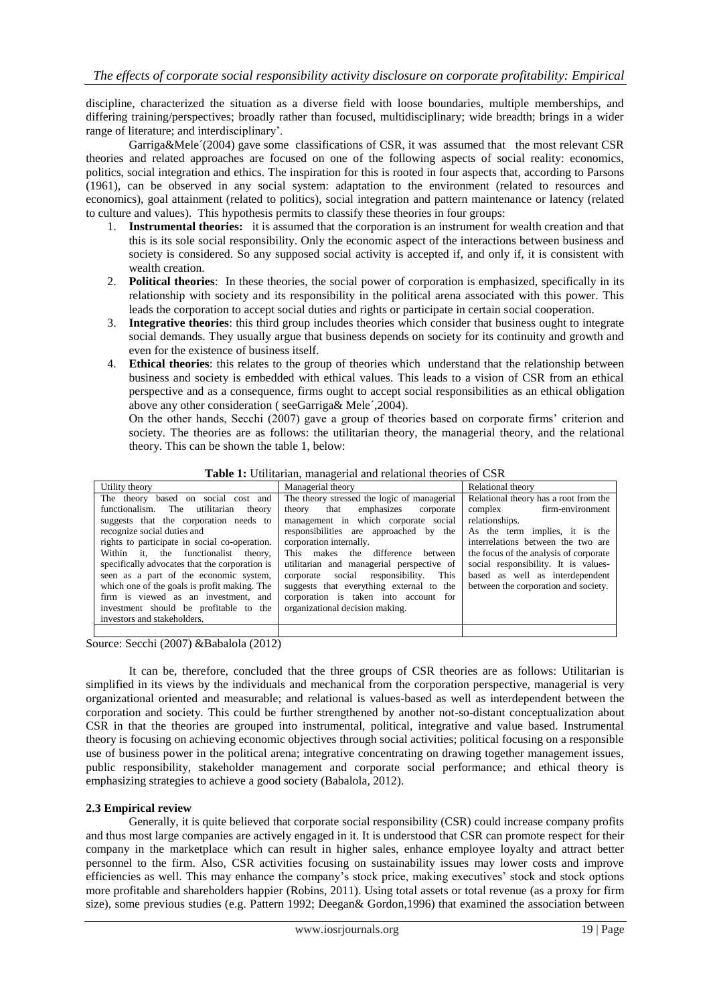discipline, characterized the situation as a diverse field with loose boundaries, multiple memberships, and differing training/perspectives; broadly rather than focused, multidisciplinary; wide breadth; brings in a wider range of literature; and interdisciplinary'.

Garriga&Mele´(2004) gave some classifications of CSR, it was assumed that the most relevant CSR theories and related approaches are focused on one of the following aspects of social reality: economics, politics, social integration and ethics. The inspiration for this is rooted in four aspects that, according to Parsons (1961), can be observed in any social system: adaptation to the environment (related to resources and economics), goal attainment (related to politics), social integration and pattern maintenance or latency (related to culture and values). This hypothesis permits to classify these theories in four groups:

- 1. **Instrumental theories:** it is assumed that the corporation is an instrument for wealth creation and that this is its sole social responsibility. Only the economic aspect of the interactions between business and society is considered. So any supposed social activity is accepted if, and only if, it is consistent with wealth creation.
- 2. **Political theories**: In these theories, the social power of corporation is emphasized, specifically in its relationship with society and its responsibility in the political arena associated with this power. This leads the corporation to accept social duties and rights or participate in certain social cooperation.
- 3. **Integrative theories**: this third group includes theories which consider that business ought to integrate social demands. They usually argue that business depends on society for its continuity and growth and even for the existence of business itself.
- 4. **Ethical theories**: this relates to the group of theories which understand that the relationship between business and society is embedded with ethical values. This leads to a vision of CSR from an ethical perspective and as a consequence, firms ought to accept social responsibilities as an ethical obligation above any other consideration ( seeGarriga& Mele´,2004).

On the other hands, Secchi (2007) gave a group of theories based on corporate firms" criterion and society. The theories are as follows: the utilitarian theory, the managerial theory, and the relational theory. This can be shown the table 1, below:

| Utility theory                                 | Managerial theory                           | Relational theory                      |
|------------------------------------------------|---------------------------------------------|----------------------------------------|
| The theory based on social cost and            | The theory stressed the logic of managerial | Relational theory has a root from the  |
| utilitarian<br>functionalism. The<br>theory    | emphasizes<br>that<br>theory<br>corporate   | firm-environment<br>complex            |
| suggests that the corporation needs to         | management in which corporate social        | relationships.                         |
| recognize social duties and                    | responsibilities are approached by the      | As the term implies, it is the         |
| rights to participate in social co-operation.  | corporation internally.                     | interrelations between the two are     |
| Within it, the functionalist theory,           | This makes the difference between           | the focus of the analysis of corporate |
| specifically advocates that the corporation is | utilitarian and managerial perspective of   | social responsibility. It is values-   |
| seen as a part of the economic system,         | corporate social responsibility.<br>This    | based as well as interdependent        |
| which one of the goals is profit making. The   | suggests that everything external to the    | between the corporation and society.   |
| firm is viewed as an investment, and           | corporation is taken into account for       |                                        |
| investment should be profitable to the         | organizational decision making.             |                                        |
| investors and stakeholders.                    |                                             |                                        |

| Table 1: Utilitarian, managerial and relational theories of CSR |  |
|-----------------------------------------------------------------|--|
|-----------------------------------------------------------------|--|

Source: Secchi (2007) &Babalola (2012)

It can be, therefore, concluded that the three groups of CSR theories are as follows: Utilitarian is simplified in its views by the individuals and mechanical from the corporation perspective, managerial is very organizational oriented and measurable; and relational is values-based as well as interdependent between the corporation and society. This could be further strengthened by another not-so-distant conceptualization about CSR in that the theories are grouped into instrumental, political, integrative and value based. Instrumental theory is focusing on achieving economic objectives through social activities; political focusing on a responsible use of business power in the political arena; integrative concentrating on drawing together management issues, public responsibility, stakeholder management and corporate social performance; and ethical theory is emphasizing strategies to achieve a good society (Babalola, 2012).

## **2.3 Empirical review**

Generally, it is quite believed that corporate social responsibility (CSR) could increase company profits and thus most large companies are actively engaged in it. It is understood that CSR can promote respect for their company in the marketplace which can result in higher sales, enhance employee loyalty and attract better personnel to the firm. Also, CSR activities focusing on sustainability issues may lower costs and improve efficiencies as well. This may enhance the company"s stock price, making executives" stock and stock options more profitable and shareholders happier (Robins, 2011). Using total assets or total revenue (as a proxy for firm size), some previous studies (e.g. Pattern 1992; Deegan& Gordon,1996) that examined the association between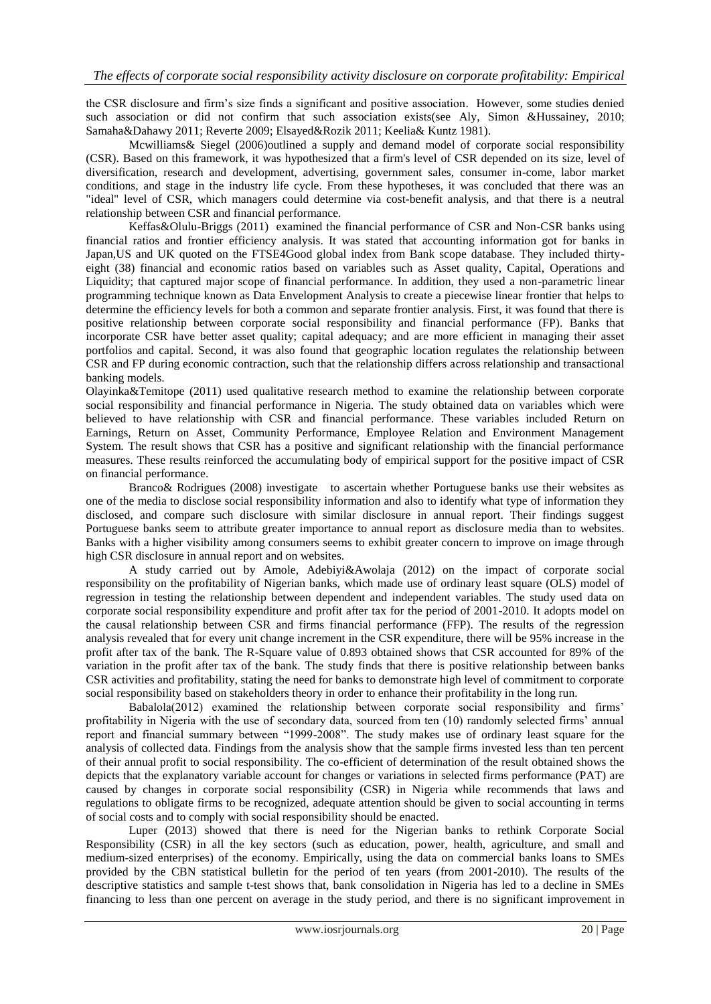the CSR disclosure and firm"s size finds a significant and positive association. However, some studies denied such association or did not confirm that such association exists(see Aly, Simon &Hussainey, 2010; Samaha&Dahawy 2011; Reverte 2009; Elsayed&Rozik 2011; Keelia& Kuntz 1981).

Mcwilliams& Siegel (2006)outlined a supply and demand model of corporate social responsibility (CSR). Based on this framework, it was hypothesized that a firm's level of CSR depended on its size, level of diversification, research and development, advertising, government sales, consumer in-come, labor market conditions, and stage in the industry life cycle. From these hypotheses, it was concluded that there was an "ideal" level of CSR, which managers could determine via cost-benefit analysis, and that there is a neutral relationship between CSR and financial performance.

Keffas&Olulu-Briggs (2011) examined the financial performance of CSR and Non-CSR banks using financial ratios and frontier efficiency analysis. It was stated that accounting information got for banks in Japan,US and UK quoted on the FTSE4Good global index from Bank scope database. They included thirtyeight (38) financial and economic ratios based on variables such as Asset quality, Capital, Operations and Liquidity; that captured major scope of financial performance. In addition, they used a non-parametric linear programming technique known as Data Envelopment Analysis to create a piecewise linear frontier that helps to determine the efficiency levels for both a common and separate frontier analysis. First, it was found that there is positive relationship between corporate social responsibility and financial performance (FP). Banks that incorporate CSR have better asset quality; capital adequacy; and are more efficient in managing their asset portfolios and capital. Second, it was also found that geographic location regulates the relationship between CSR and FP during economic contraction, such that the relationship differs across relationship and transactional banking models.

Olayinka&Temitope (2011) used qualitative research method to examine the relationship between corporate social responsibility and financial performance in Nigeria. The study obtained data on variables which were believed to have relationship with CSR and financial performance. These variables included Return on Earnings, Return on Asset, Community Performance, Employee Relation and Environment Management System. The result shows that CSR has a positive and significant relationship with the financial performance measures. These results reinforced the accumulating body of empirical support for the positive impact of CSR on financial performance.

Branco& Rodrigues (2008) investigate to ascertain whether Portuguese banks use their websites as one of the media to disclose social responsibility information and also to identify what type of information they disclosed, and compare such disclosure with similar disclosure in annual report. Their findings suggest Portuguese banks seem to attribute greater importance to annual report as disclosure media than to websites. Banks with a higher visibility among consumers seems to exhibit greater concern to improve on image through high CSR disclosure in annual report and on websites.

A study carried out by Amole, Adebiyi&Awolaja (2012) on the impact of corporate social responsibility on the profitability of Nigerian banks, which made use of ordinary least square (OLS) model of regression in testing the relationship between dependent and independent variables. The study used data on corporate social responsibility expenditure and profit after tax for the period of 2001-2010. It adopts model on the causal relationship between CSR and firms financial performance (FFP). The results of the regression analysis revealed that for every unit change increment in the CSR expenditure, there will be 95% increase in the profit after tax of the bank. The R-Square value of 0.893 obtained shows that CSR accounted for 89% of the variation in the profit after tax of the bank. The study finds that there is positive relationship between banks CSR activities and profitability, stating the need for banks to demonstrate high level of commitment to corporate social responsibility based on stakeholders theory in order to enhance their profitability in the long run.

Babalola(2012) examined the relationship between corporate social responsibility and firms' profitability in Nigeria with the use of secondary data, sourced from ten (10) randomly selected firms" annual report and financial summary between "1999-2008". The study makes use of ordinary least square for the analysis of collected data. Findings from the analysis show that the sample firms invested less than ten percent of their annual profit to social responsibility. The co-efficient of determination of the result obtained shows the depicts that the explanatory variable account for changes or variations in selected firms performance (PAT) are caused by changes in corporate social responsibility (CSR) in Nigeria while recommends that laws and regulations to obligate firms to be recognized, adequate attention should be given to social accounting in terms of social costs and to comply with social responsibility should be enacted.

Luper (2013) showed that there is need for the Nigerian banks to rethink Corporate Social Responsibility (CSR) in all the key sectors (such as education, power, health, agriculture, and small and medium-sized enterprises) of the economy. Empirically, using the data on commercial banks loans to SMEs provided by the CBN statistical bulletin for the period of ten years (from 2001-2010). The results of the descriptive statistics and sample t-test shows that, bank consolidation in Nigeria has led to a decline in SMEs financing to less than one percent on average in the study period, and there is no significant improvement in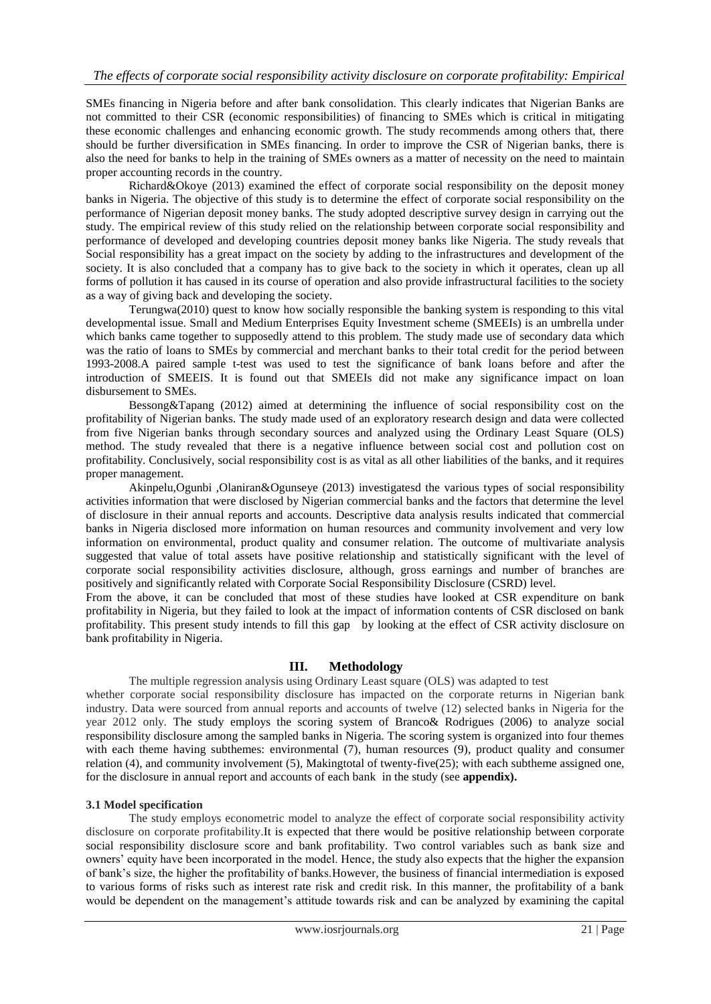SMEs financing in Nigeria before and after bank consolidation. This clearly indicates that Nigerian Banks are not committed to their CSR (economic responsibilities) of financing to SMEs which is critical in mitigating these economic challenges and enhancing economic growth. The study recommends among others that, there should be further diversification in SMEs financing. In order to improve the CSR of Nigerian banks, there is also the need for banks to help in the training of SMEs owners as a matter of necessity on the need to maintain proper accounting records in the country.

Richard&Okoye (2013) examined the effect of corporate social responsibility on the deposit money banks in Nigeria. The objective of this study is to determine the effect of corporate social responsibility on the performance of Nigerian deposit money banks. The study adopted descriptive survey design in carrying out the study. The empirical review of this study relied on the relationship between corporate social responsibility and performance of developed and developing countries deposit money banks like Nigeria. The study reveals that Social responsibility has a great impact on the society by adding to the infrastructures and development of the society. It is also concluded that a company has to give back to the society in which it operates, clean up all forms of pollution it has caused in its course of operation and also provide infrastructural facilities to the society as a way of giving back and developing the society.

Terungwa(2010) quest to know how socially responsible the banking system is responding to this vital developmental issue. Small and Medium Enterprises Equity Investment scheme (SMEEIs) is an umbrella under which banks came together to supposedly attend to this problem. The study made use of secondary data which was the ratio of loans to SMEs by commercial and merchant banks to their total credit for the period between 1993-2008.A paired sample t-test was used to test the significance of bank loans before and after the introduction of SMEEIS. It is found out that SMEEIs did not make any significance impact on loan disbursement to SMEs.

Bessong&Tapang (2012) aimed at determining the influence of social responsibility cost on the profitability of Nigerian banks. The study made used of an exploratory research design and data were collected from five Nigerian banks through secondary sources and analyzed using the Ordinary Least Square (OLS) method. The study revealed that there is a negative influence between social cost and pollution cost on profitability. Conclusively, social responsibility cost is as vital as all other liabilities of the banks, and it requires proper management.

Akinpelu,Ogunbi ,Olaniran&Ogunseye (2013) investigatesd the various types of social responsibility activities information that were disclosed by Nigerian commercial banks and the factors that determine the level of disclosure in their annual reports and accounts. Descriptive data analysis results indicated that commercial banks in Nigeria disclosed more information on human resources and community involvement and very low information on environmental, product quality and consumer relation. The outcome of multivariate analysis suggested that value of total assets have positive relationship and statistically significant with the level of corporate social responsibility activities disclosure, although, gross earnings and number of branches are positively and significantly related with Corporate Social Responsibility Disclosure (CSRD) level.

From the above, it can be concluded that most of these studies have looked at CSR expenditure on bank profitability in Nigeria, but they failed to look at the impact of information contents of CSR disclosed on bank profitability. This present study intends to fill this gap by looking at the effect of CSR activity disclosure on bank profitability in Nigeria.

#### **III. Methodology**

The multiple regression analysis using Ordinary Least square (OLS) was adapted to test

whether corporate social responsibility disclosure has impacted on the corporate returns in Nigerian bank industry. Data were sourced from annual reports and accounts of twelve (12) selected banks in Nigeria for the year 2012 only. The study employs the scoring system of Branco& Rodrigues (2006) to analyze social responsibility disclosure among the sampled banks in Nigeria. The scoring system is organized into four themes with each theme having subthemes: environmental (7), human resources (9), product quality and consumer relation (4), and community involvement (5), Makingtotal of twenty-five(25); with each subtheme assigned one, for the disclosure in annual report and accounts of each bank in the study (see **appendix).** 

## **3.1 Model specification**

The study employs econometric model to analyze the effect of corporate social responsibility activity disclosure on corporate profitability.It is expected that there would be positive relationship between corporate social responsibility disclosure score and bank profitability. Two control variables such as bank size and owners" equity have been incorporated in the model. Hence, the study also expects that the higher the expansion of bank"s size, the higher the profitability of banks.However, the business of financial intermediation is exposed to various forms of risks such as interest rate risk and credit risk. In this manner, the profitability of a bank would be dependent on the management"s attitude towards risk and can be analyzed by examining the capital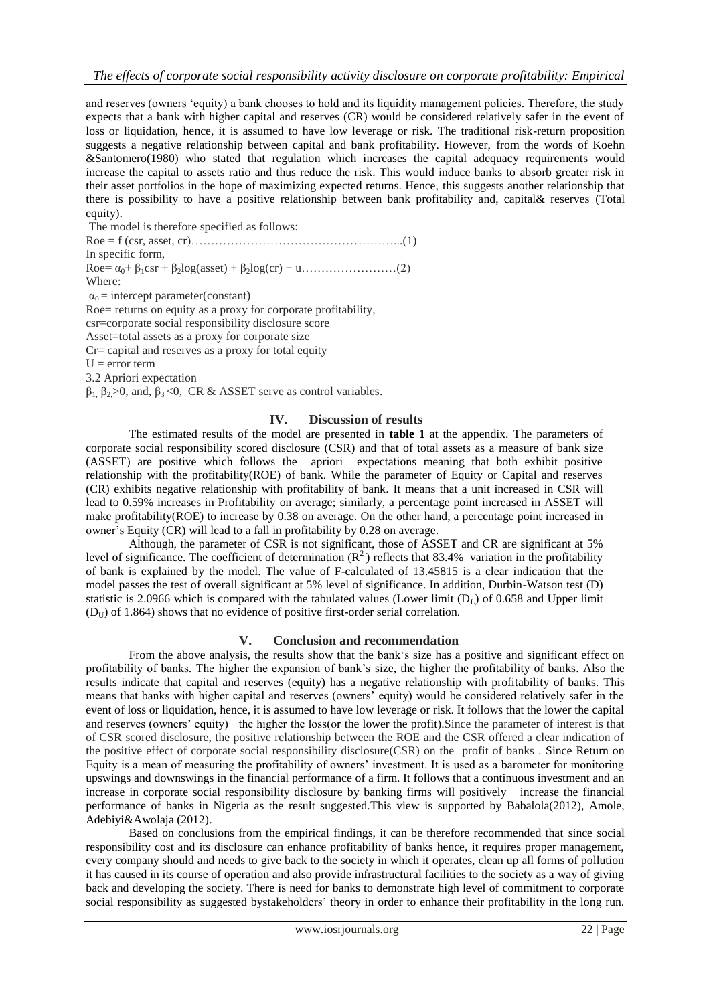and reserves (owners "equity) a bank chooses to hold and its liquidity management policies. Therefore, the study expects that a bank with higher capital and reserves (CR) would be considered relatively safer in the event of loss or liquidation, hence, it is assumed to have low leverage or risk. The traditional risk-return proposition suggests a negative relationship between capital and bank profitability. However, from the words of Koehn &Santomero(1980) who stated that regulation which increases the capital adequacy requirements would increase the capital to assets ratio and thus reduce the risk. This would induce banks to absorb greater risk in their asset portfolios in the hope of maximizing expected returns. Hence, this suggests another relationship that there is possibility to have a positive relationship between bank profitability and, capital& reserves (Total equity).

The model is therefore specified as follows: Roe = f (csr, asset, cr)……………………………………………...(1) In specific form, Roe= α0+ β1csr + β2log(asset) + β2log(cr) + u……………………(2) Where:  $\alpha_0$  = intercept parameter(constant) Roe= returns on equity as a proxy for corporate profitability, csr=corporate social responsibility disclosure score Asset=total assets as a proxy for corporate size Cr= capital and reserves as a proxy for total equity  $U = error term$ 3.2 Apriori expectation  $β_1$ ,  $β_2$  > 0, and,  $β_3$  < 0, CR & ASSET serve as control variables.

# **IV. Discussion of results**

The estimated results of the model are presented in **table 1** at the appendix. The parameters of corporate social responsibility scored disclosure (CSR) and that of total assets as a measure of bank size (ASSET) are positive which follows the apriori expectations meaning that both exhibit positive relationship with the profitability(ROE) of bank. While the parameter of Equity or Capital and reserves (CR) exhibits negative relationship with profitability of bank. It means that a unit increased in CSR will lead to 0.59% increases in Profitability on average; similarly, a percentage point increased in ASSET will make profitability(ROE) to increase by 0.38 on average. On the other hand, a percentage point increased in owner"s Equity (CR) will lead to a fall in profitability by 0.28 on average.

Although, the parameter of CSR is not significant, those of ASSET and CR are significant at 5% level of significance. The coefficient of determination  $(R^2)$  reflects that 83.4% variation in the profitability of bank is explained by the model. The value of F-calculated of 13.45815 is a clear indication that the model passes the test of overall significant at 5% level of significance. In addition, Durbin-Watson test (D) statistic is 2.0966 which is compared with the tabulated values (Lower limit  $(D<sub>L</sub>)$ ) of 0.658 and Upper limit  $(D<sub>U</sub>)$  of 1.864) shows that no evidence of positive first-order serial correlation.

#### **V. Conclusion and recommendation**

From the above analysis, the results show that the bank"s size has a positive and significant effect on profitability of banks. The higher the expansion of bank"s size, the higher the profitability of banks. Also the results indicate that capital and reserves (equity) has a negative relationship with profitability of banks. This means that banks with higher capital and reserves (owners" equity) would be considered relatively safer in the event of loss or liquidation, hence, it is assumed to have low leverage or risk. It follows that the lower the capital and reserves (owners' equity) the higher the loss(or the lower the profit). Since the parameter of interest is that of CSR scored disclosure, the positive relationship between the ROE and the CSR offered a clear indication of the positive effect of corporate social responsibility disclosure(CSR) on the profit of banks . Since Return on Equity is a mean of measuring the profitability of owners" investment. It is used as a barometer for monitoring upswings and downswings in the financial performance of a firm. It follows that a continuous investment and an increase in corporate social responsibility disclosure by banking firms will positively increase the financial performance of banks in Nigeria as the result suggested.This view is supported by Babalola(2012), Amole, Adebiyi&Awolaja (2012).

Based on conclusions from the empirical findings, it can be therefore recommended that since social responsibility cost and its disclosure can enhance profitability of banks hence, it requires proper management, every company should and needs to give back to the society in which it operates, clean up all forms of pollution it has caused in its course of operation and also provide infrastructural facilities to the society as a way of giving back and developing the society. There is need for banks to demonstrate high level of commitment to corporate social responsibility as suggested bystakeholders" theory in order to enhance their profitability in the long run.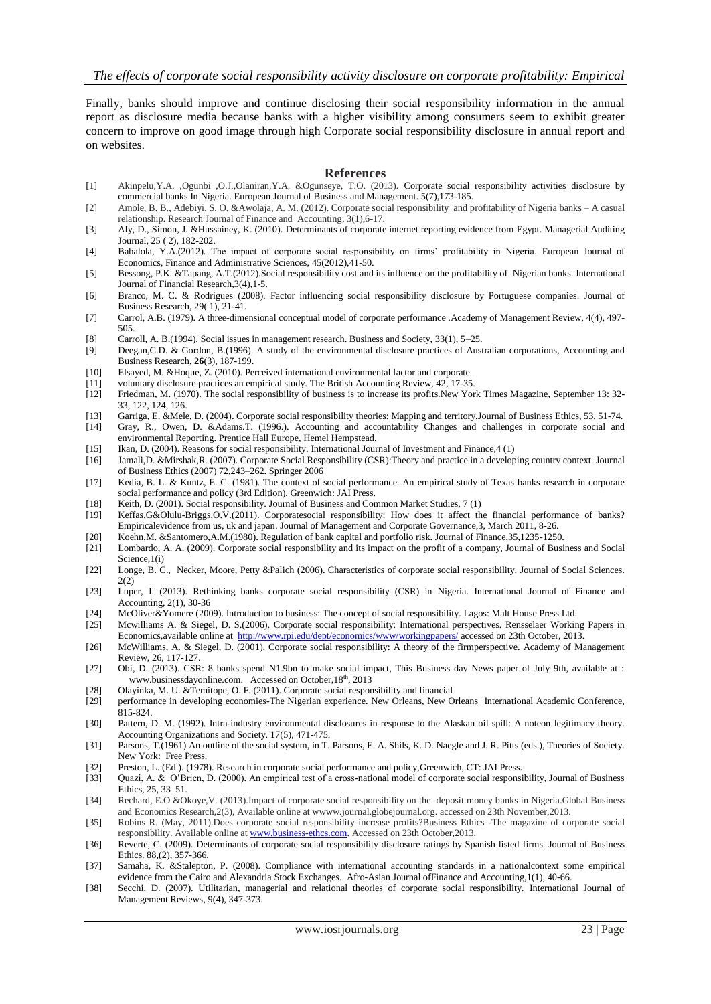Finally, banks should improve and continue disclosing their social responsibility information in the annual report as disclosure media because banks with a higher visibility among consumers seem to exhibit greater concern to improve on good image through high Corporate social responsibility disclosure in annual report and on websites.

#### **References**

- [1] Akinpelu,Y.A. ,Ogunbi ,O.J.,Olaniran,Y.A. &Ogunseye, T.O. (2013). Corporate social responsibility activities disclosure by commercial banks In Nigeria. European Journal of Business and Management. 5(7),173-185.
- [2] Amole, B. B., Adebiyi, S. O. &Awolaja, A. M. (2012). Corporate social responsibility and profitability of Nigeria banks A casual relationship. Research Journal of Finance and Accounting, 3(1),6-17.
- [3] Aly, D., Simon, J. &Hussainey, K. (2010). Determinants of corporate internet reporting evidence from Egypt. Managerial Auditing Journal, 25 ( 2), 182-202.
- [4] Babalola, Y.A.(2012). The impact of corporate social responsibility on firms" profitability in Nigeria. European Journal of Economics, Finance and Administrative Sciences, 45(2012),41-50.
- [5] Bessong, P.K. &Tapang, A.T.(2012).Social responsibility cost and its influence on the profitability of Nigerian banks. International Journal of Financial Research,3(4),1-5.
- [6] Branco, M. C. & Rodrigues (2008). Factor influencing social responsibility disclosure by Portuguese companies. Journal of Business Research, 29( 1), 21-41.
- [7] Carrol, A.B. (1979). A three-dimensional conceptual model of corporate performance .Academy of Management Review, 4(4), 497- 505.
- [8] Carroll, A. B.(1994). Social issues in management research. Business and Society, 33(1), 5–25.
- [9] Deegan,C.D. & Gordon, B.(1996). A study of the environmental disclosure practices of Australian corporations, Accounting and Business Research, **26**(3), 187-199.
- [10] Elsayed, M. &Hoque, Z. (2010). Perceived international environmental factor and corporate
- voluntary disclosure practices an empirical study. The British Accounting Review, 42, 17-35.
- [12] Friedman, M. (1970). The social responsibility of business is to increase its profits.New York Times Magazine, September 13: 32- 33, 122, 124, 126.
- [13] Garriga, E. &Mele, D. (2004). Corporate social responsibility theories: Mapping and territory.Journal of Business Ethics, 53, 51-74. [14] Gray, R., Owen, D. &Adams.T. (1996.). Accounting and accountability Changes and challenges in corporate social and environmental Reporting. Prentice Hall Europe, Hemel Hempstead.
- [15] Ikan, D. (2004). Reasons for social responsibility. International Journal of Investment and Finance,4 (1)
- [16] Jamali,D. &Mirshak,R. (2007). Corporate Social Responsibility (CSR):Theory and practice in a developing country context. Journal of Business Ethics (2007) 72,243–262. Springer 2006
- [17] Kedia, B. L. & Kuntz, E. C. (1981). The context of social performance. An empirical study of Texas banks research in corporate social performance and policy (3rd Edition). Greenwich: JAI Press.
- [18] Keith, D. (2001). Social responsibility. Journal of Business and Common Market Studies, 7 (1)
- [19] Keffas,G&Olulu-Briggs,O.V.(2011). Corporatesocial responsibility: How does it affect the financial performance of banks? Empiricalevidence from us, uk and japan. Journal of Management and Corporate Governance,3, March 2011, 8-26.
- [20] Koehn,M. &Santomero,A.M.(1980). Regulation of bank capital and portfolio risk. Journal of Finance,35,1235-1250.
- [21] Lombardo, A. A. (2009). Corporate social responsibility and its impact on the profit of a company, Journal of Business and Social Science, 1(i)
- [22] Longe, B. C., Necker, Moore, Petty &Palich (2006). Characteristics of corporate social responsibility. Journal of Social Sciences. 2(2)
- [23] Luper, I. (2013). Rethinking banks corporate social responsibility (CSR) in Nigeria. International Journal of Finance and Accounting, 2(1), 30-36
- [24] McOliver&Yomere (2009). Introduction to business: The concept of social responsibility. Lagos: Malt House Press Ltd.
- [25] Mcwilliams A. & Siegel, D. S.(2006). Corporate social responsibility: International perspectives. Rensselaer Working Papers in Economics,available online at<http://www.rpi.edu/dept/economics/www/workingpapers/> accessed on 23th October, 2013.
- [26] McWilliams, A. & Siegel, D. (2001). Corporate social responsibility: A theory of the firmperspective. Academy of Management Review, 26, 117-127.
- [27] Obi, D. (2013). CSR: 8 banks spend N1.9bn to make social impact, This Business day News paper of July 9th, available at : www.businessdayonline.com. Accessed on October, 18<sup>th</sup>, 2013
- [28] Olayinka, M. U. &Temitope, O. F. (2011). Corporate social responsibility and financial
- [29] performance in developing economies-The Nigerian experience. New Orleans, New Orleans International Academic Conference, 815-824.
- [30] Pattern, D. M. (1992). Intra-industry environmental disclosures in response to the Alaskan oil spill: A noteon legitimacy theory. Accounting Organizations and Society. 17(5), 471-475.
- [31] Parsons, T.(1961) An outline of the social system, in T. Parsons, E. A. Shils, K. D. Naegle and J. R. Pitts (eds.), Theories of Society. New York: Free Press.
- [32] Preston, L. (Ed.). (1978). Research in corporate social performance and policy,Greenwich, CT: JAI Press.
- [33] Quazi, A. & O"Brien, D. (2000). An empirical test of a cross-national model of corporate social responsibility, Journal of Business Ethics, 25, 33–51.
- [34] Rechard, E.O &Okoye,V. (2013).Impact of corporate social responsibility on the deposit money banks in Nigeria.Global Business and Economics Research,2(3), Available online at wwww.journal.globejournal.org. accessed on 23th November,2013.
- [35] Robins R. (May, 2011).Does corporate social responsibility increase profits?Business Ethics -The magazine of corporate social responsibility. Available online a[t www.business-ethcs.com.](http://www.business-ethcs.com/) Accessed on 23th October,2013.
- [36] Reverte, C. (2009). Determinants of corporate social responsibility disclosure ratings by Spanish listed firms. Journal of Business Ethics. 88,(2), 357-366.
- [37] Samaha, K. &Stalepton, P. (2008). Compliance with international accounting standards in a nationalcontext some empirical evidence from the Cairo and Alexandria Stock Exchanges. Afro-Asian Journal ofFinance and Accounting,1(1), 40-66.
- [38] Secchi, D. (2007). Utilitarian, managerial and relational theories of corporate social responsibility. International Journal of Management Reviews, 9(4), 347-373.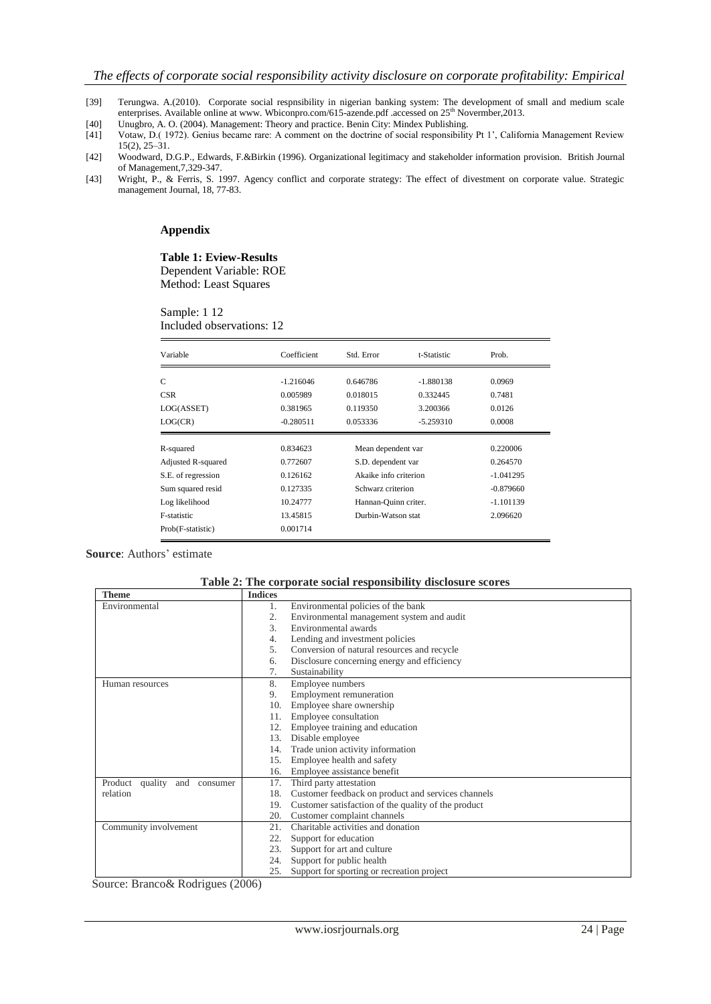- [39] Terungwa. A.(2010). Corporate social respnsibility in nigerian banking system: The development of small and medium scale enterprises. Available online at www. Wbiconpro.com/615-azende.pdf .accessed on 25<sup>th</sup> Novermber, 2013.
- [40] Unugbro, A. O. (2004). Management: Theory and practice. Benin City: Mindex Publishing.
- [41] Votaw, D.( 1972). Genius became rare: A comment on the doctrine of social responsibility Pt 1", California Management Review 15(2), 25–31.
- [42] Woodward, D.G.P., Edwards, F.&Birkin (1996). Organizational legitimacy and stakeholder information provision. British Journal of Management,7,329-347.
- [43] Wright, P., & Ferris, S. 1997. Agency conflict and corporate strategy: The effect of divestment on corporate value. Strategic management Journal, 18, 77-83.

#### **Appendix**

#### **Table 1: Eview-Results** Dependent Variable: ROE

Method: Least Squares

Sample: 1 12 Included observations: 12

| Variable           | Coefficient | Std. Error            | t-Statistic | Prob.       |
|--------------------|-------------|-----------------------|-------------|-------------|
| C                  | $-1.216046$ | 0.646786              | -1.880138   | 0.0969      |
| <b>CSR</b>         | 0.005989    | 0.018015              | 0.332445    | 0.7481      |
| LOG(ASSET)         | 0.381965    | 0.119350              | 3.200366    | 0.0126      |
| LOG(CR)            | $-0.280511$ | 0.053336              | $-5.259310$ | 0.0008      |
| R-squared          | 0.834623    | Mean dependent var    |             | 0.220006    |
| Adjusted R-squared | 0.772607    | S.D. dependent var    |             | 0.264570    |
| S.E. of regression | 0.126162    | Akaike info criterion |             | $-1.041295$ |
| Sum squared resid  | 0.127335    | Schwarz criterion     |             | $-0.879660$ |
| Log likelihood     | 10.24777    | Hannan-Quinn criter.  |             | $-1.101139$ |
| F-statistic        | 13.45815    | Durbin-Watson stat    |             | 2.096620    |
| Prob(F-statistic)  | 0.001714    |                       |             |             |

## **Source:** Authors' estimate

| Table 2: The corporate social responsibility disclosure scores |
|----------------------------------------------------------------|
|----------------------------------------------------------------|

| <b>Theme</b>                                                   | <b>Indices</b> |                                                     |  |  |
|----------------------------------------------------------------|----------------|-----------------------------------------------------|--|--|
| Environmental                                                  | 1.             | Environmental policies of the bank                  |  |  |
|                                                                | 2.             | Environmental management system and audit           |  |  |
|                                                                | 3.             | Environmental awards                                |  |  |
|                                                                | 4.             | Lending and investment policies                     |  |  |
|                                                                | 5.             | Conversion of natural resources and recycle         |  |  |
|                                                                | 6.             | Disclosure concerning energy and efficiency         |  |  |
|                                                                | 7.             | Sustainability                                      |  |  |
| Human resources                                                | 8.             | Employee numbers                                    |  |  |
|                                                                | 9.             | Employment remuneration                             |  |  |
|                                                                | 10.            | Employee share ownership                            |  |  |
|                                                                | 11.            | Employee consultation                               |  |  |
|                                                                | 12.            | Employee training and education                     |  |  |
|                                                                | 13.            | Disable employee                                    |  |  |
|                                                                | 14.            | Trade union activity information                    |  |  |
|                                                                | 15.            | Employee health and safety                          |  |  |
|                                                                | 16.            | Employee assistance benefit                         |  |  |
| Third party attestation<br>Product quality and consumer<br>17. |                |                                                     |  |  |
| relation                                                       | 18.            | Customer feedback on product and services channels  |  |  |
|                                                                | 19.            | Customer satisfaction of the quality of the product |  |  |
|                                                                | 20.            | Customer complaint channels                         |  |  |
| Community involvement                                          | 21.            | Charitable activities and donation                  |  |  |
|                                                                | 22.            | Support for education                               |  |  |
|                                                                | 23.            | Support for art and culture                         |  |  |
|                                                                | 24.            | Support for public health                           |  |  |
|                                                                | 25.            | Support for sporting or recreation project          |  |  |

Source: Branco& Rodrigues (2006)